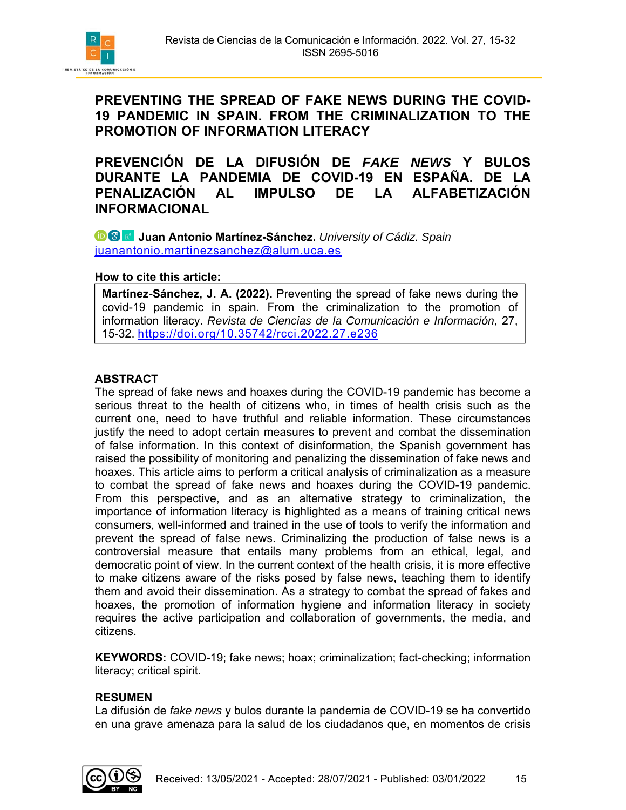

**PREVENCIÓN DE LA DIFUSIÓN DE** *FAKE NEWS* **Y BULOS DURANTE LA PANDEMIA DE COVID-19 EN ESPAÑA. DE LA PENALIZACIÓN AL IMPULSO DE LA ALFABETIZACIÓN INFORMACIONAL** 

*D* **& Juan Antonio Martínez-Sánchez.** University of Cádiz. Spain juanantonio.martinezsanchez@alum.uca.es

#### **How to cite this article:**

**Martínez-Sánchez, J. A. (2022).** Preventing the spread of fake news during the covid-19 pandemic in spain. From the criminalization to the promotion of information literacy. *Revista de Ciencias de la Comunicación e Información,* 27, 15-32. https://doi.org/10.35742/rcci.2022.27.e236

## **ABSTRACT**

The spread of fake news and hoaxes during the COVID-19 pandemic has become a serious threat to the health of citizens who, in times of health crisis such as the current one, need to have truthful and reliable information. These circumstances justify the need to adopt certain measures to prevent and combat the dissemination of false information. In this context of disinformation, the Spanish government has raised the possibility of monitoring and penalizing the dissemination of fake news and hoaxes. This article aims to perform a critical analysis of criminalization as a measure to combat the spread of fake news and hoaxes during the COVID-19 pandemic. From this perspective, and as an alternative strategy to criminalization, the importance of information literacy is highlighted as a means of training critical news consumers, well-informed and trained in the use of tools to verify the information and prevent the spread of false news. Criminalizing the production of false news is a controversial measure that entails many problems from an ethical, legal, and democratic point of view. In the current context of the health crisis, it is more effective to make citizens aware of the risks posed by false news, teaching them to identify them and avoid their dissemination. As a strategy to combat the spread of fakes and hoaxes, the promotion of information hygiene and information literacy in society requires the active participation and collaboration of governments, the media, and citizens.

**KEYWORDS:** COVID-19; fake news; hoax; criminalization; fact-checking; information literacy; critical spirit.

#### **RESUMEN**

La difusión de *fake news* y bulos durante la pandemia de COVID-19 se ha convertido en una grave amenaza para la salud de los ciudadanos que, en momentos de crisis

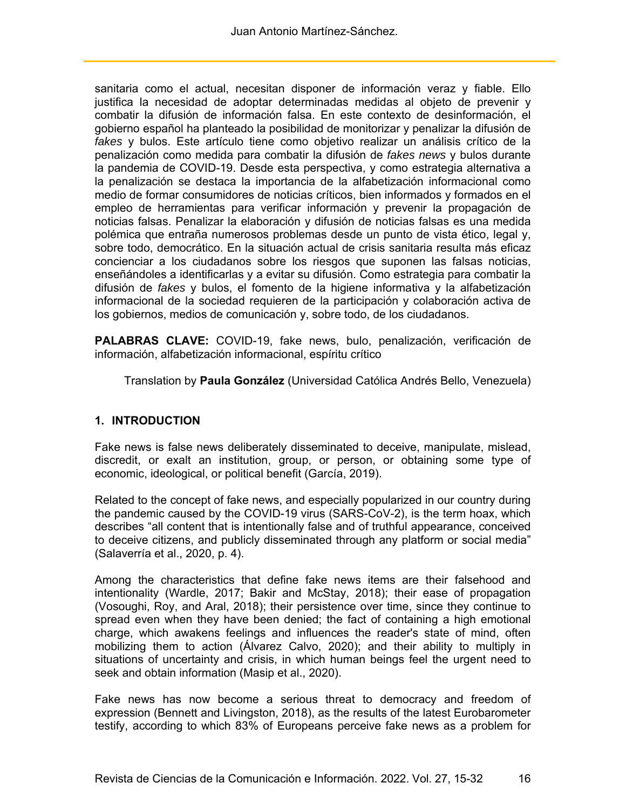sanitaria como el actual, necesitan disponer de información veraz y fiable. Ello justifica la necesidad de adoptar determinadas medidas al objeto de prevenir y combatir la difusión de información falsa. En este contexto de desinformación, el gobierno español ha planteado la posibilidad de monitorizar y penalizar la difusión de *fakes* y bulos. Este artículo tiene como objetivo realizar un análisis crítico de la penalización como medida para combatir la difusión de *fakes news* y bulos durante la pandemia de COVID-19. Desde esta perspectiva, y como estrategia alternativa a la penalización se destaca la importancia de la alfabetización informacional como medio de formar consumidores de noticias críticos, bien informados y formados en el empleo de herramientas para verificar información y prevenir la propagación de noticias falsas. Penalizar la elaboración y difusión de noticias falsas es una medida polémica que entraña numerosos problemas desde un punto de vista ético, legal y, sobre todo, democrático. En la situación actual de crisis sanitaria resulta más eficaz concienciar a los ciudadanos sobre los riesgos que suponen las falsas noticias, enseñándoles a identificarlas y a evitar su difusión. Como estrategia para combatir la difusión de *fakes* y bulos, el fomento de la higiene informativa y la alfabetización informacional de la sociedad requieren de la participación y colaboración activa de los gobiernos, medios de comunicación y, sobre todo, de los ciudadanos.

**PALABRAS CLAVE:** COVID-19, fake news, bulo, penalización, verificación de información, alfabetización informacional, espíritu crítico

Translation by **Paula González** (Universidad Católica Andrés Bello, Venezuela)

#### **1. INTRODUCTION**

Fake news is false news deliberately disseminated to deceive, manipulate, mislead, discredit, or exalt an institution, group, or person, or obtaining some type of economic, ideological, or political benefit (García, 2019).

Related to the concept of fake news, and especially popularized in our country during the pandemic caused by the COVID-19 virus (SARS-CoV-2), is the term hoax, which describes "all content that is intentionally false and of truthful appearance, conceived to deceive citizens, and publicly disseminated through any platform or social media" (Salaverría et al., 2020, p. 4).

Among the characteristics that define fake news items are their falsehood and intentionality (Wardle, 2017; Bakir and McStay, 2018); their ease of propagation (Vosoughi, Roy, and Aral, 2018); their persistence over time, since they continue to spread even when they have been denied; the fact of containing a high emotional charge, which awakens feelings and influences the reader's state of mind, often mobilizing them to action (Álvarez Calvo, 2020); and their ability to multiply in situations of uncertainty and crisis, in which human beings feel the urgent need to seek and obtain information (Masip et al., 2020).

Fake news has now become a serious threat to democracy and freedom of expression (Bennett and Livingston, 2018), as the results of the latest Eurobarometer testify, according to which 83% of Europeans perceive fake news as a problem for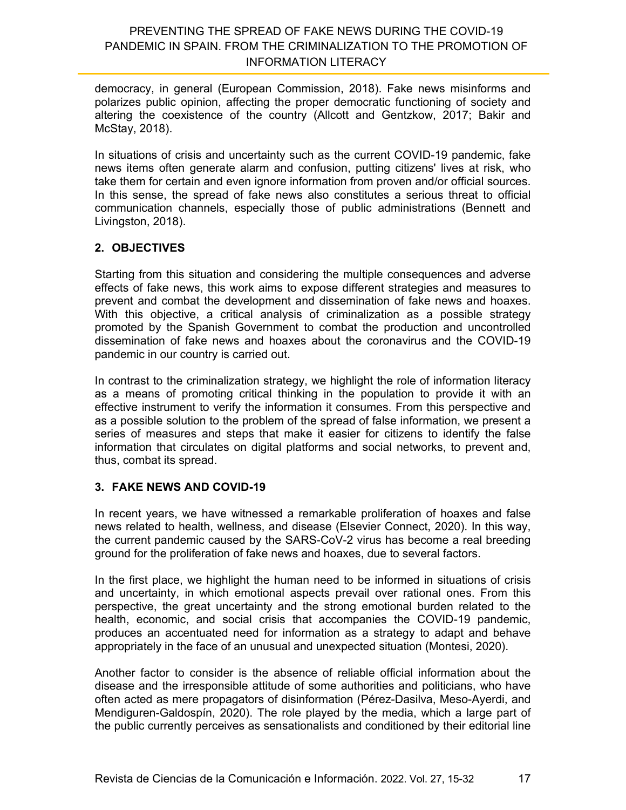democracy, in general (European Commission, 2018). Fake news misinforms and polarizes public opinion, affecting the proper democratic functioning of society and altering the coexistence of the country (Allcott and Gentzkow, 2017; Bakir and McStay, 2018).

In situations of crisis and uncertainty such as the current COVID-19 pandemic, fake news items often generate alarm and confusion, putting citizens' lives at risk, who take them for certain and even ignore information from proven and/or official sources. In this sense, the spread of fake news also constitutes a serious threat to official communication channels, especially those of public administrations (Bennett and Livingston, 2018).

## **2. OBJECTIVES**

Starting from this situation and considering the multiple consequences and adverse effects of fake news, this work aims to expose different strategies and measures to prevent and combat the development and dissemination of fake news and hoaxes. With this objective, a critical analysis of criminalization as a possible strategy promoted by the Spanish Government to combat the production and uncontrolled dissemination of fake news and hoaxes about the coronavirus and the COVID-19 pandemic in our country is carried out.

In contrast to the criminalization strategy, we highlight the role of information literacy as a means of promoting critical thinking in the population to provide it with an effective instrument to verify the information it consumes. From this perspective and as a possible solution to the problem of the spread of false information, we present a series of measures and steps that make it easier for citizens to identify the false information that circulates on digital platforms and social networks, to prevent and, thus, combat its spread.

## **3. FAKE NEWS AND COVID-19**

In recent years, we have witnessed a remarkable proliferation of hoaxes and false news related to health, wellness, and disease (Elsevier Connect, 2020). In this way, the current pandemic caused by the SARS-CoV-2 virus has become a real breeding ground for the proliferation of fake news and hoaxes, due to several factors.

In the first place, we highlight the human need to be informed in situations of crisis and uncertainty, in which emotional aspects prevail over rational ones. From this perspective, the great uncertainty and the strong emotional burden related to the health, economic, and social crisis that accompanies the COVID-19 pandemic, produces an accentuated need for information as a strategy to adapt and behave appropriately in the face of an unusual and unexpected situation (Montesi, 2020).

Another factor to consider is the absence of reliable official information about the disease and the irresponsible attitude of some authorities and politicians, who have often acted as mere propagators of disinformation (Pérez-Dasilva, Meso-Ayerdi, and Mendiguren-Galdospín, 2020). The role played by the media, which a large part of the public currently perceives as sensationalists and conditioned by their editorial line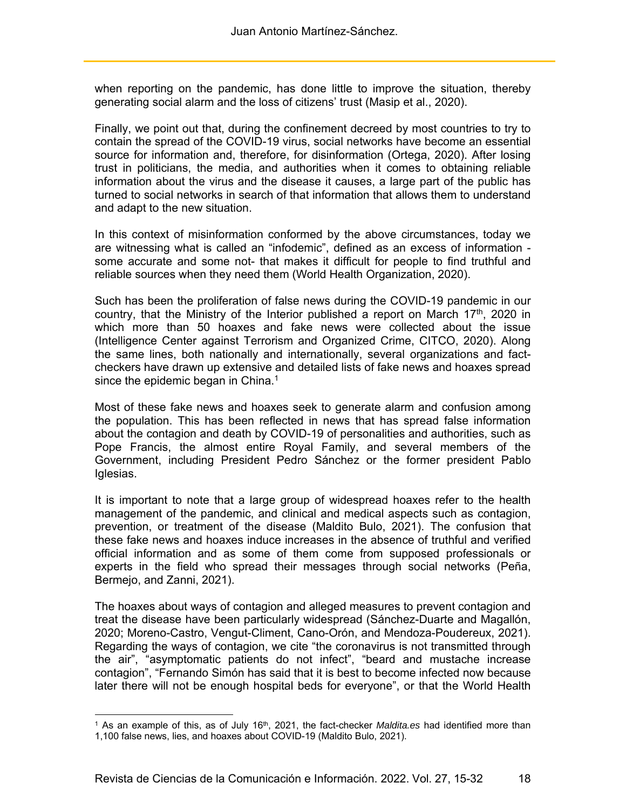when reporting on the pandemic, has done little to improve the situation, thereby generating social alarm and the loss of citizens' trust (Masip et al., 2020).

Finally, we point out that, during the confinement decreed by most countries to try to contain the spread of the COVID-19 virus, social networks have become an essential source for information and, therefore, for disinformation (Ortega, 2020). After losing trust in politicians, the media, and authorities when it comes to obtaining reliable information about the virus and the disease it causes, a large part of the public has turned to social networks in search of that information that allows them to understand and adapt to the new situation.

In this context of misinformation conformed by the above circumstances, today we are witnessing what is called an "infodemic", defined as an excess of information some accurate and some not- that makes it difficult for people to find truthful and reliable sources when they need them (World Health Organization, 2020).

Such has been the proliferation of false news during the COVID-19 pandemic in our country, that the Ministry of the Interior published a report on March 17<sup>th</sup>, 2020 in which more than 50 hoaxes and fake news were collected about the issue (Intelligence Center against Terrorism and Organized Crime, CITCO, 2020). Along the same lines, both nationally and internationally, several organizations and factcheckers have drawn up extensive and detailed lists of fake news and hoaxes spread since the epidemic began in China.<sup>1</sup>

Most of these fake news and hoaxes seek to generate alarm and confusion among the population. This has been reflected in news that has spread false information about the contagion and death by COVID-19 of personalities and authorities, such as Pope Francis, the almost entire Royal Family, and several members of the Government, including President Pedro Sánchez or the former president Pablo Iglesias.

It is important to note that a large group of widespread hoaxes refer to the health management of the pandemic, and clinical and medical aspects such as contagion, prevention, or treatment of the disease (Maldito Bulo, 2021). The confusion that these fake news and hoaxes induce increases in the absence of truthful and verified official information and as some of them come from supposed professionals or experts in the field who spread their messages through social networks (Peña, Bermejo, and Zanni, 2021).

The hoaxes about ways of contagion and alleged measures to prevent contagion and treat the disease have been particularly widespread (Sánchez-Duarte and Magallón, 2020; Moreno-Castro, Vengut-Climent, Cano-Orón, and Mendoza-Poudereux, 2021). Regarding the ways of contagion, we cite "the coronavirus is not transmitted through the air", "asymptomatic patients do not infect", "beard and mustache increase contagion", "Fernando Simón has said that it is best to become infected now because later there will not be enough hospital beds for everyone", or that the World Health

 $\overline{a}$ 

<sup>&</sup>lt;sup>1</sup> As an example of this, as of July 16<sup>th</sup>, 2021, the fact-checker *Maldita.es* had identified more than 1,100 false news, lies, and hoaxes about COVID-19 (Maldito Bulo, 2021).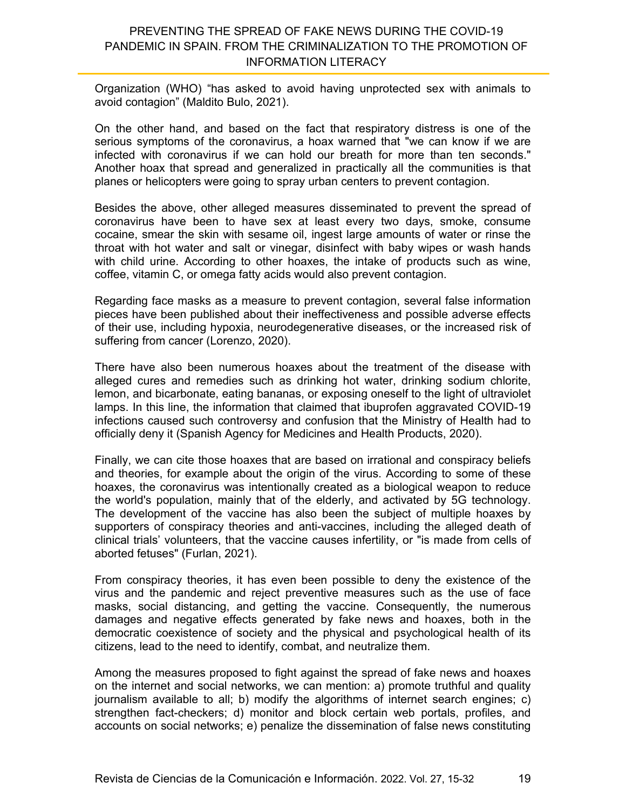Organization (WHO) "has asked to avoid having unprotected sex with animals to avoid contagion" (Maldito Bulo, 2021).

On the other hand, and based on the fact that respiratory distress is one of the serious symptoms of the coronavirus, a hoax warned that "we can know if we are infected with coronavirus if we can hold our breath for more than ten seconds." Another hoax that spread and generalized in practically all the communities is that planes or helicopters were going to spray urban centers to prevent contagion.

Besides the above, other alleged measures disseminated to prevent the spread of coronavirus have been to have sex at least every two days, smoke, consume cocaine, smear the skin with sesame oil, ingest large amounts of water or rinse the throat with hot water and salt or vinegar, disinfect with baby wipes or wash hands with child urine. According to other hoaxes, the intake of products such as wine, coffee, vitamin C, or omega fatty acids would also prevent contagion.

Regarding face masks as a measure to prevent contagion, several false information pieces have been published about their ineffectiveness and possible adverse effects of their use, including hypoxia, neurodegenerative diseases, or the increased risk of suffering from cancer (Lorenzo, 2020).

There have also been numerous hoaxes about the treatment of the disease with alleged cures and remedies such as drinking hot water, drinking sodium chlorite, lemon, and bicarbonate, eating bananas, or exposing oneself to the light of ultraviolet lamps. In this line, the information that claimed that ibuprofen aggravated COVID-19 infections caused such controversy and confusion that the Ministry of Health had to officially deny it (Spanish Agency for Medicines and Health Products, 2020).

Finally, we can cite those hoaxes that are based on irrational and conspiracy beliefs and theories, for example about the origin of the virus. According to some of these hoaxes, the coronavirus was intentionally created as a biological weapon to reduce the world's population, mainly that of the elderly, and activated by 5G technology. The development of the vaccine has also been the subject of multiple hoaxes by supporters of conspiracy theories and anti-vaccines, including the alleged death of clinical trials' volunteers, that the vaccine causes infertility, or "is made from cells of aborted fetuses" (Furlan, 2021).

From conspiracy theories, it has even been possible to deny the existence of the virus and the pandemic and reject preventive measures such as the use of face masks, social distancing, and getting the vaccine. Consequently, the numerous damages and negative effects generated by fake news and hoaxes, both in the democratic coexistence of society and the physical and psychological health of its citizens, lead to the need to identify, combat, and neutralize them.

Among the measures proposed to fight against the spread of fake news and hoaxes on the internet and social networks, we can mention: a) promote truthful and quality journalism available to all; b) modify the algorithms of internet search engines; c) strengthen fact-checkers; d) monitor and block certain web portals, profiles, and accounts on social networks; e) penalize the dissemination of false news constituting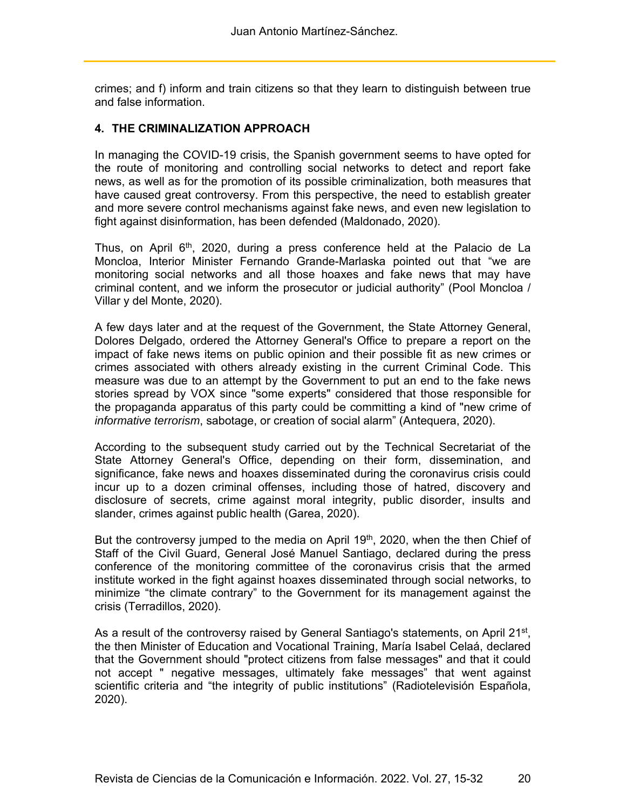crimes; and f) inform and train citizens so that they learn to distinguish between true and false information.

#### **4. THE CRIMINALIZATION APPROACH**

In managing the COVID-19 crisis, the Spanish government seems to have opted for the route of monitoring and controlling social networks to detect and report fake news, as well as for the promotion of its possible criminalization, both measures that have caused great controversy. From this perspective, the need to establish greater and more severe control mechanisms against fake news, and even new legislation to fight against disinformation, has been defended (Maldonado, 2020).

Thus, on April  $6<sup>th</sup>$ , 2020, during a press conference held at the Palacio de La Moncloa, Interior Minister Fernando Grande-Marlaska pointed out that "we are monitoring social networks and all those hoaxes and fake news that may have criminal content, and we inform the prosecutor or judicial authority" (Pool Moncloa / Villar y del Monte, 2020).

A few days later and at the request of the Government, the State Attorney General, Dolores Delgado, ordered the Attorney General's Office to prepare a report on the impact of fake news items on public opinion and their possible fit as new crimes or crimes associated with others already existing in the current Criminal Code. This measure was due to an attempt by the Government to put an end to the fake news stories spread by VOX since "some experts" considered that those responsible for the propaganda apparatus of this party could be committing a kind of "new crime of *informative terrorism*, sabotage, or creation of social alarm" (Antequera, 2020).

According to the subsequent study carried out by the Technical Secretariat of the State Attorney General's Office, depending on their form, dissemination, and significance, fake news and hoaxes disseminated during the coronavirus crisis could incur up to a dozen criminal offenses, including those of hatred, discovery and disclosure of secrets, crime against moral integrity, public disorder, insults and slander, crimes against public health (Garea, 2020).

But the controversy jumped to the media on April 19<sup>th</sup>, 2020, when the then Chief of Staff of the Civil Guard, General José Manuel Santiago, declared during the press conference of the monitoring committee of the coronavirus crisis that the armed institute worked in the fight against hoaxes disseminated through social networks, to minimize "the climate contrary" to the Government for its management against the crisis (Terradillos, 2020).

As a result of the controversy raised by General Santiago's statements, on April 21<sup>st</sup>, the then Minister of Education and Vocational Training, María Isabel Celaá, declared that the Government should "protect citizens from false messages" and that it could not accept " negative messages, ultimately fake messages" that went against scientific criteria and "the integrity of public institutions" (Radiotelevisión Española, 2020).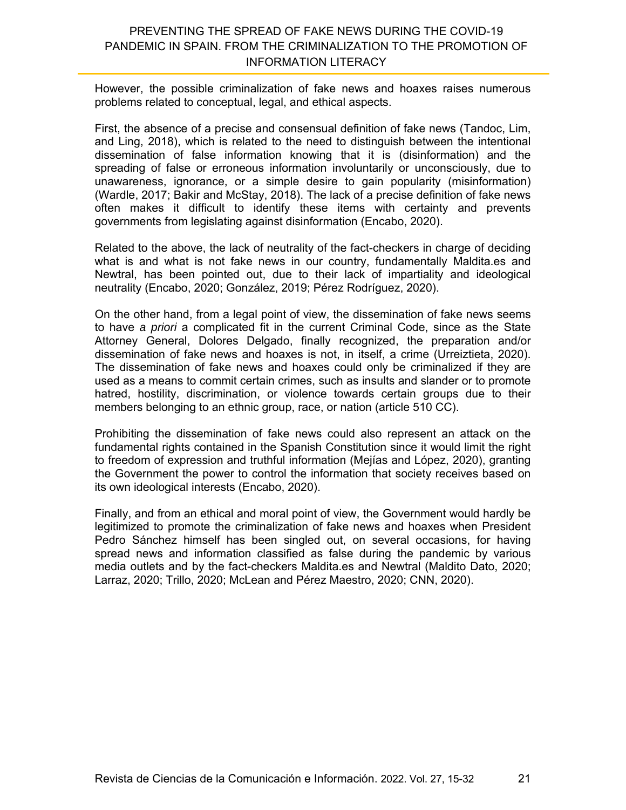However, the possible criminalization of fake news and hoaxes raises numerous problems related to conceptual, legal, and ethical aspects.

First, the absence of a precise and consensual definition of fake news (Tandoc, Lim, and Ling, 2018), which is related to the need to distinguish between the intentional dissemination of false information knowing that it is (disinformation) and the spreading of false or erroneous information involuntarily or unconsciously, due to unawareness, ignorance, or a simple desire to gain popularity (misinformation) (Wardle, 2017; Bakir and McStay, 2018). The lack of a precise definition of fake news often makes it difficult to identify these items with certainty and prevents governments from legislating against disinformation (Encabo, 2020).

Related to the above, the lack of neutrality of the fact-checkers in charge of deciding what is and what is not fake news in our country, fundamentally Maldita.es and Newtral, has been pointed out, due to their lack of impartiality and ideological neutrality (Encabo, 2020; González, 2019; Pérez Rodríguez, 2020).

On the other hand, from a legal point of view, the dissemination of fake news seems to have *a priori* a complicated fit in the current Criminal Code, since as the State Attorney General, Dolores Delgado, finally recognized, the preparation and/or dissemination of fake news and hoaxes is not, in itself, a crime (Urreiztieta, 2020). The dissemination of fake news and hoaxes could only be criminalized if they are used as a means to commit certain crimes, such as insults and slander or to promote hatred, hostility, discrimination, or violence towards certain groups due to their members belonging to an ethnic group, race, or nation (article 510 CC).

Prohibiting the dissemination of fake news could also represent an attack on the fundamental rights contained in the Spanish Constitution since it would limit the right to freedom of expression and truthful information (Mejías and López, 2020), granting the Government the power to control the information that society receives based on its own ideological interests (Encabo, 2020).

Finally, and from an ethical and moral point of view, the Government would hardly be legitimized to promote the criminalization of fake news and hoaxes when President Pedro Sánchez himself has been singled out, on several occasions, for having spread news and information classified as false during the pandemic by various media outlets and by the fact-checkers Maldita.es and Newtral (Maldito Dato, 2020; Larraz, 2020; Trillo, 2020; McLean and Pérez Maestro, 2020; CNN, 2020).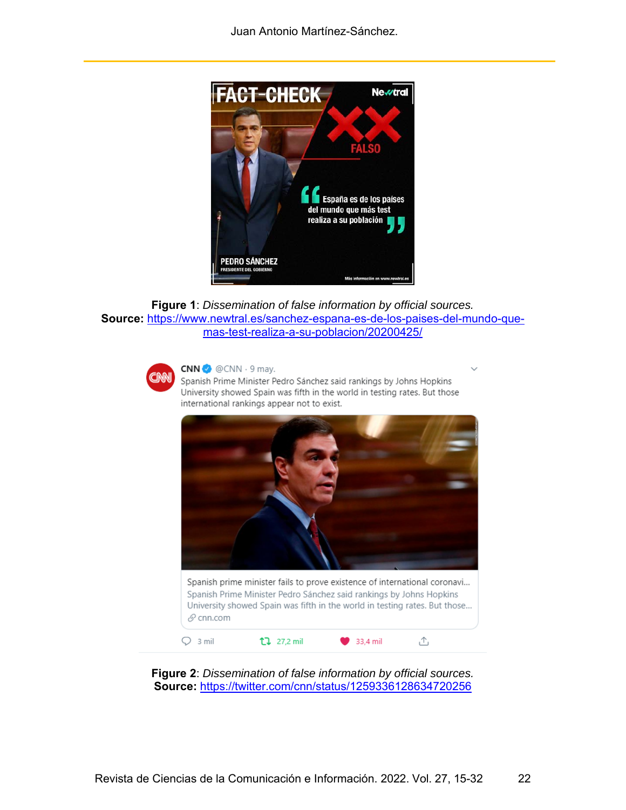

```
Figure 1: Dissemination of false information by official sources. 
Source: https://www.newtral.es/sanchez-espana-es-de-los-paises-del-mundo-que-
                   mas-test-realiza-a-su-poblacion/20200425/
```


 $CNN \rightarrow \textcircled{e}$  CNN  $\cdot$  9 may.

Spanish Prime Minister Pedro Sánchez said rankings by Johns Hopkins University showed Spain was fifth in the world in testing rates. But those international rankings appear not to exist.



**Figure 2**: *Dissemination of false information by official sources.*  **Source:** https://twitter.com/cnn/status/1259336128634720256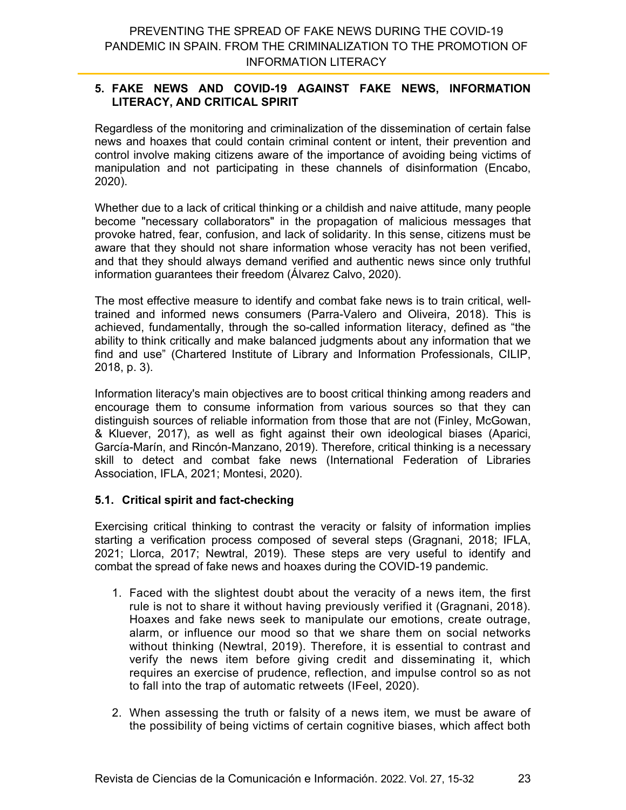#### **5. FAKE NEWS AND COVID-19 AGAINST FAKE NEWS, INFORMATION LITERACY, AND CRITICAL SPIRIT**

Regardless of the monitoring and criminalization of the dissemination of certain false news and hoaxes that could contain criminal content or intent, their prevention and control involve making citizens aware of the importance of avoiding being victims of manipulation and not participating in these channels of disinformation (Encabo, 2020).

Whether due to a lack of critical thinking or a childish and naive attitude, many people become "necessary collaborators" in the propagation of malicious messages that provoke hatred, fear, confusion, and lack of solidarity. In this sense, citizens must be aware that they should not share information whose veracity has not been verified, and that they should always demand verified and authentic news since only truthful information guarantees their freedom (Álvarez Calvo, 2020).

The most effective measure to identify and combat fake news is to train critical, welltrained and informed news consumers (Parra-Valero and Oliveira, 2018). This is achieved, fundamentally, through the so-called information literacy, defined as "the ability to think critically and make balanced judgments about any information that we find and use" (Chartered Institute of Library and Information Professionals, CILIP, 2018, p. 3).

Information literacy's main objectives are to boost critical thinking among readers and encourage them to consume information from various sources so that they can distinguish sources of reliable information from those that are not (Finley, McGowan, & Kluever, 2017), as well as fight against their own ideological biases (Aparici, García-Marín, and Rincón-Manzano, 2019). Therefore, critical thinking is a necessary skill to detect and combat fake news (International Federation of Libraries Association, IFLA, 2021; Montesi, 2020).

#### **5.1. Critical spirit and fact-checking**

Exercising critical thinking to contrast the veracity or falsity of information implies starting a verification process composed of several steps (Gragnani, 2018; IFLA, 2021; Llorca, 2017; Newtral, 2019). These steps are very useful to identify and combat the spread of fake news and hoaxes during the COVID-19 pandemic.

- 1. Faced with the slightest doubt about the veracity of a news item, the first rule is not to share it without having previously verified it (Gragnani, 2018). Hoaxes and fake news seek to manipulate our emotions, create outrage, alarm, or influence our mood so that we share them on social networks without thinking (Newtral, 2019). Therefore, it is essential to contrast and verify the news item before giving credit and disseminating it, which requires an exercise of prudence, reflection, and impulse control so as not to fall into the trap of automatic retweets (IFeel, 2020).
- 2. When assessing the truth or falsity of a news item, we must be aware of the possibility of being victims of certain cognitive biases, which affect both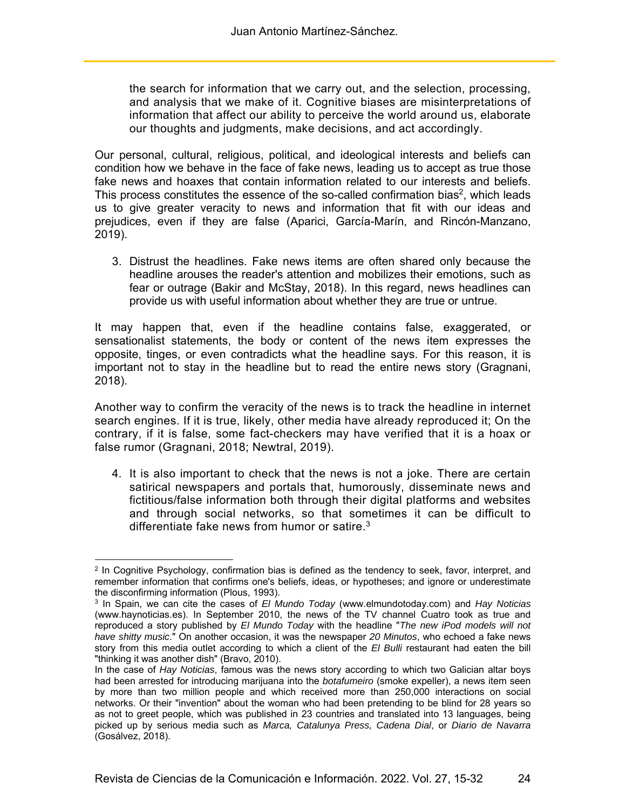the search for information that we carry out, and the selection, processing, and analysis that we make of it. Cognitive biases are misinterpretations of information that affect our ability to perceive the world around us, elaborate our thoughts and judgments, make decisions, and act accordingly.

Our personal, cultural, religious, political, and ideological interests and beliefs can condition how we behave in the face of fake news, leading us to accept as true those fake news and hoaxes that contain information related to our interests and beliefs. This process constitutes the essence of the so-called confirmation bias<sup>2</sup>, which leads us to give greater veracity to news and information that fit with our ideas and prejudices, even if they are false (Aparici, García-Marín, and Rincón-Manzano, 2019).

3. Distrust the headlines. Fake news items are often shared only because the headline arouses the reader's attention and mobilizes their emotions, such as fear or outrage (Bakir and McStay, 2018). In this regard, news headlines can provide us with useful information about whether they are true or untrue.

It may happen that, even if the headline contains false, exaggerated, or sensationalist statements, the body or content of the news item expresses the opposite, tinges, or even contradicts what the headline says. For this reason, it is important not to stay in the headline but to read the entire news story (Gragnani, 2018).

Another way to confirm the veracity of the news is to track the headline in internet search engines. If it is true, likely, other media have already reproduced it; On the contrary, if it is false, some fact-checkers may have verified that it is a hoax or false rumor (Gragnani, 2018; Newtral, 2019).

4. It is also important to check that the news is not a joke. There are certain satirical newspapers and portals that, humorously, disseminate news and fictitious/false information both through their digital platforms and websites and through social networks, so that sometimes it can be difficult to differentiate fake news from humor or satire.3

 $\overline{a}$ 2 In Cognitive Psychology, confirmation bias is defined as the tendency to seek, favor, interpret, and remember information that confirms one's beliefs, ideas, or hypotheses; and ignore or underestimate the disconfirming information (Plous, 1993).

<sup>3</sup> In Spain, we can cite the cases of *El Mundo Today* (www.elmundotoday.com) and *Hay Noticias* (www.haynoticias.es). In September 2010, the news of the TV channel Cuatro took as true and reproduced a story published by *El Mundo Today* with the headline "*The new iPod models will not have shitty music*." On another occasion, it was the newspaper *20 Minutos*, who echoed a fake news story from this media outlet according to which a client of the *El Bulli* restaurant had eaten the bill "thinking it was another dish" (Bravo, 2010).

In the case of *Hay Noticias*, famous was the news story according to which two Galician altar boys had been arrested for introducing marijuana into the *botafumeiro* (smoke expeller), a news item seen by more than two million people and which received more than 250,000 interactions on social networks. Or their "invention" about the woman who had been pretending to be blind for 28 years so as not to greet people, which was published in 23 countries and translated into 13 languages, being picked up by serious media such as *Marca, Catalunya Press, Cadena Dial*, or *Diario de Navarra* (Gosálvez, 2018).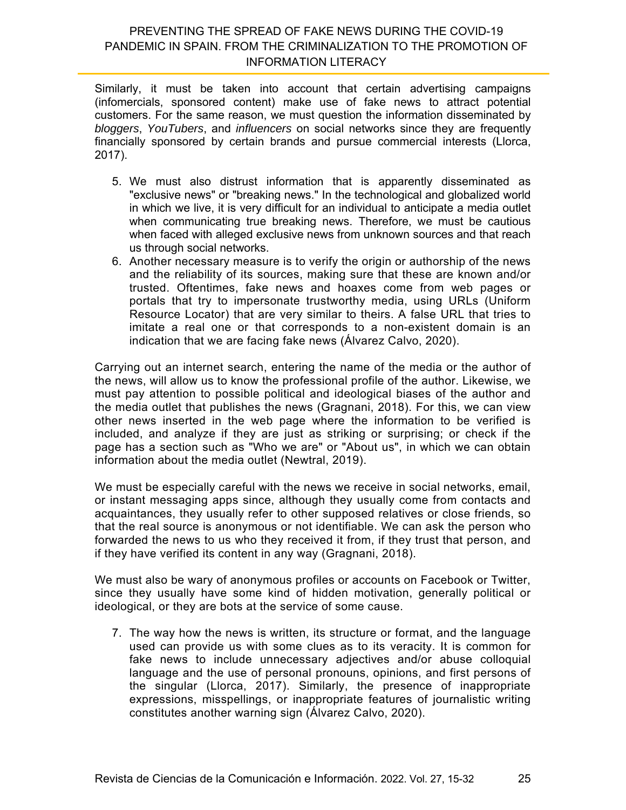Similarly, it must be taken into account that certain advertising campaigns (infomercials, sponsored content) make use of fake news to attract potential customers. For the same reason, we must question the information disseminated by *bloggers*, *YouTubers*, and *influencers* on social networks since they are frequently financially sponsored by certain brands and pursue commercial interests (Llorca, 2017).

- 5. We must also distrust information that is apparently disseminated as "exclusive news" or "breaking news." In the technological and globalized world in which we live, it is very difficult for an individual to anticipate a media outlet when communicating true breaking news. Therefore, we must be cautious when faced with alleged exclusive news from unknown sources and that reach us through social networks.
- 6. Another necessary measure is to verify the origin or authorship of the news and the reliability of its sources, making sure that these are known and/or trusted. Oftentimes, fake news and hoaxes come from web pages or portals that try to impersonate trustworthy media, using URLs (Uniform Resource Locator) that are very similar to theirs. A false URL that tries to imitate a real one or that corresponds to a non-existent domain is an indication that we are facing fake news (Álvarez Calvo, 2020).

Carrying out an internet search, entering the name of the media or the author of the news, will allow us to know the professional profile of the author. Likewise, we must pay attention to possible political and ideological biases of the author and the media outlet that publishes the news (Gragnani, 2018). For this, we can view other news inserted in the web page where the information to be verified is included, and analyze if they are just as striking or surprising; or check if the page has a section such as "Who we are" or "About us", in which we can obtain information about the media outlet (Newtral, 2019).

We must be especially careful with the news we receive in social networks, email, or instant messaging apps since, although they usually come from contacts and acquaintances, they usually refer to other supposed relatives or close friends, so that the real source is anonymous or not identifiable. We can ask the person who forwarded the news to us who they received it from, if they trust that person, and if they have verified its content in any way (Gragnani, 2018).

We must also be wary of anonymous profiles or accounts on Facebook or Twitter, since they usually have some kind of hidden motivation, generally political or ideological, or they are bots at the service of some cause.

7. The way how the news is written, its structure or format, and the language used can provide us with some clues as to its veracity. It is common for fake news to include unnecessary adjectives and/or abuse colloquial language and the use of personal pronouns, opinions, and first persons of the singular (Llorca, 2017). Similarly, the presence of inappropriate expressions, misspellings, or inappropriate features of journalistic writing constitutes another warning sign (Álvarez Calvo, 2020).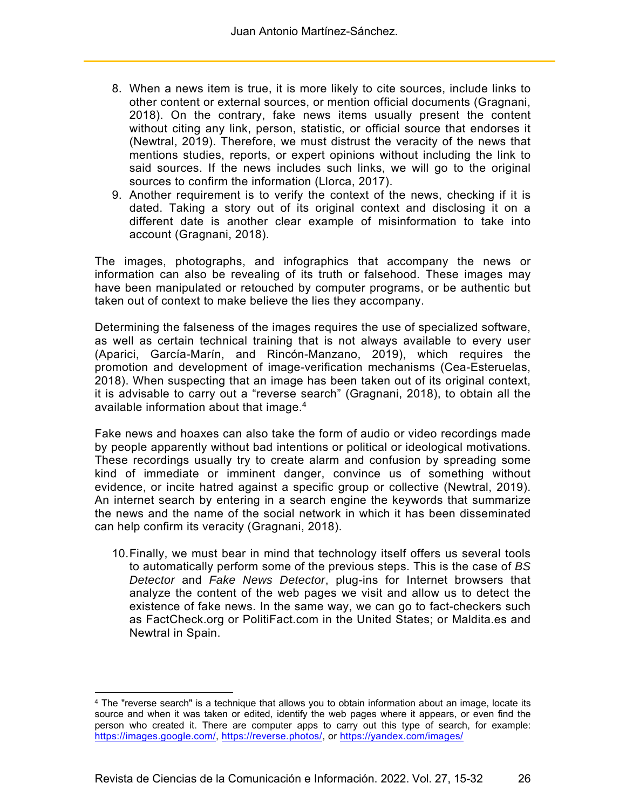- 8. When a news item is true, it is more likely to cite sources, include links to other content or external sources, or mention official documents (Gragnani, 2018). On the contrary, fake news items usually present the content without citing any link, person, statistic, or official source that endorses it (Newtral, 2019). Therefore, we must distrust the veracity of the news that mentions studies, reports, or expert opinions without including the link to said sources. If the news includes such links, we will go to the original sources to confirm the information (Llorca, 2017).
- 9. Another requirement is to verify the context of the news, checking if it is dated. Taking a story out of its original context and disclosing it on a different date is another clear example of misinformation to take into account (Gragnani, 2018).

The images, photographs, and infographics that accompany the news or information can also be revealing of its truth or falsehood. These images may have been manipulated or retouched by computer programs, or be authentic but taken out of context to make believe the lies they accompany.

Determining the falseness of the images requires the use of specialized software, as well as certain technical training that is not always available to every user (Aparici, García-Marín, and Rincón-Manzano, 2019), which requires the promotion and development of image-verification mechanisms (Cea-Esteruelas, 2018). When suspecting that an image has been taken out of its original context, it is advisable to carry out a "reverse search" (Gragnani, 2018), to obtain all the available information about that image.<sup>4</sup>

Fake news and hoaxes can also take the form of audio or video recordings made by people apparently without bad intentions or political or ideological motivations. These recordings usually try to create alarm and confusion by spreading some kind of immediate or imminent danger, convince us of something without evidence, or incite hatred against a specific group or collective (Newtral, 2019). An internet search by entering in a search engine the keywords that summarize the news and the name of the social network in which it has been disseminated can help confirm its veracity (Gragnani, 2018).

10. Finally, we must bear in mind that technology itself offers us several tools to automatically perform some of the previous steps. This is the case of *BS Detector* and *Fake News Detector*, plug-ins for Internet browsers that analyze the content of the web pages we visit and allow us to detect the existence of fake news. In the same way, we can go to fact-checkers such as FactCheck.org or PolitiFact.com in the United States; or Maldita.es and Newtral in Spain.

 $\overline{a}$ 

<sup>4</sup> The "reverse search" is a technique that allows you to obtain information about an image, locate its source and when it was taken or edited, identify the web pages where it appears, or even find the person who created it. There are computer apps to carry out this type of search, for example: https://images.google.com/, https://reverse.photos/, or https://yandex.com/images/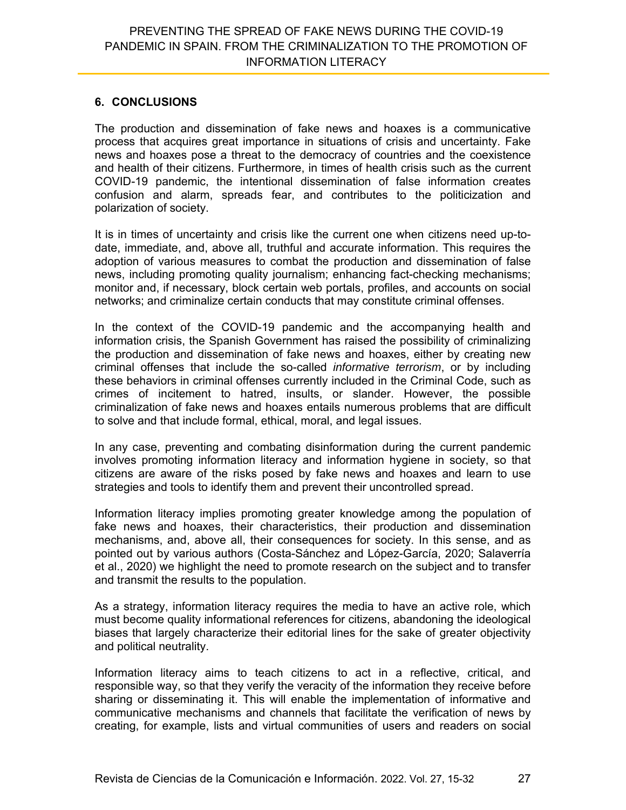## **6. CONCLUSIONS**

The production and dissemination of fake news and hoaxes is a communicative process that acquires great importance in situations of crisis and uncertainty. Fake news and hoaxes pose a threat to the democracy of countries and the coexistence and health of their citizens. Furthermore, in times of health crisis such as the current COVID-19 pandemic, the intentional dissemination of false information creates confusion and alarm, spreads fear, and contributes to the politicization and polarization of society.

It is in times of uncertainty and crisis like the current one when citizens need up-todate, immediate, and, above all, truthful and accurate information. This requires the adoption of various measures to combat the production and dissemination of false news, including promoting quality journalism; enhancing fact-checking mechanisms; monitor and, if necessary, block certain web portals, profiles, and accounts on social networks; and criminalize certain conducts that may constitute criminal offenses.

In the context of the COVID-19 pandemic and the accompanying health and information crisis, the Spanish Government has raised the possibility of criminalizing the production and dissemination of fake news and hoaxes, either by creating new criminal offenses that include the so-called *informative terrorism*, or by including these behaviors in criminal offenses currently included in the Criminal Code, such as crimes of incitement to hatred, insults, or slander. However, the possible criminalization of fake news and hoaxes entails numerous problems that are difficult to solve and that include formal, ethical, moral, and legal issues.

In any case, preventing and combating disinformation during the current pandemic involves promoting information literacy and information hygiene in society, so that citizens are aware of the risks posed by fake news and hoaxes and learn to use strategies and tools to identify them and prevent their uncontrolled spread.

Information literacy implies promoting greater knowledge among the population of fake news and hoaxes, their characteristics, their production and dissemination mechanisms, and, above all, their consequences for society. In this sense, and as pointed out by various authors (Costa-Sánchez and López-García, 2020; Salaverría et al., 2020) we highlight the need to promote research on the subject and to transfer and transmit the results to the population.

As a strategy, information literacy requires the media to have an active role, which must become quality informational references for citizens, abandoning the ideological biases that largely characterize their editorial lines for the sake of greater objectivity and political neutrality.

Information literacy aims to teach citizens to act in a reflective, critical, and responsible way, so that they verify the veracity of the information they receive before sharing or disseminating it. This will enable the implementation of informative and communicative mechanisms and channels that facilitate the verification of news by creating, for example, lists and virtual communities of users and readers on social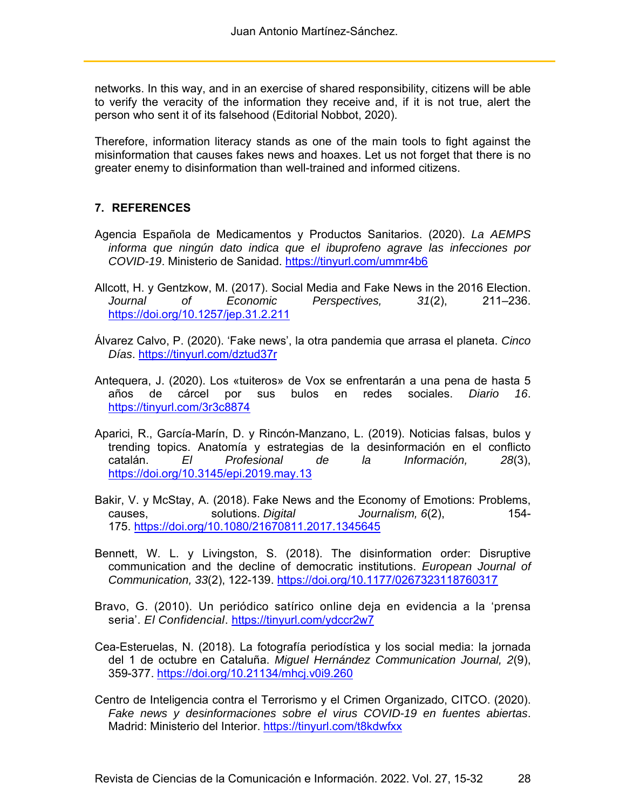networks. In this way, and in an exercise of shared responsibility, citizens will be able to verify the veracity of the information they receive and, if it is not true, alert the person who sent it of its falsehood (Editorial Nobbot, 2020).

Therefore, information literacy stands as one of the main tools to fight against the misinformation that causes fakes news and hoaxes. Let us not forget that there is no greater enemy to disinformation than well-trained and informed citizens.

## **7. REFERENCES**

- Agencia Española de Medicamentos y Productos Sanitarios. (2020). *La AEMPS informa que ningún dato indica que el ibuprofeno agrave las infecciones por COVID-19*. Ministerio de Sanidad. https://tinyurl.com/ummr4b6
- Allcott, H. y Gentzkow, M. (2017). Social Media and Fake News in the 2016 Election. *Journal of Economic Perspectives, 31*(2), 211–236. https://doi.org/10.1257/jep.31.2.211
- Álvarez Calvo, P. (2020). 'Fake news', la otra pandemia que arrasa el planeta. *Cinco Días*. https://tinyurl.com/dztud37r
- Antequera, J. (2020). Los «tuiteros» de Vox se enfrentarán a una pena de hasta 5 años de cárcel por sus bulos en redes sociales. *Diario 16*. https://tinyurl.com/3r3c8874
- Aparici, R., García-Marín, D. y Rincón-Manzano, L. (2019). Noticias falsas, bulos y trending topics. Anatomía y estrategias de la desinformación en el conflicto catalán. *El Profesional de la Información, 28*(3), https://doi.org/10.3145/epi.2019.may.13
- Bakir, V. y McStay, A. (2018). Fake News and the Economy of Emotions: Problems, causes, solutions. *Digital Journalism, 6*(2), 154- 175. https://doi.org/10.1080/21670811.2017.1345645
- Bennett, W. L. y Livingston, S. (2018). The disinformation order: Disruptive communication and the decline of democratic institutions. *European Journal of Communication, 33*(2), 122-139. https://doi.org/10.1177/0267323118760317
- Bravo, G. (2010). Un periódico satírico online deja en evidencia a la 'prensa seria'. *El Confidencial*. https://tinyurl.com/ydccr2w7
- Cea-Esteruelas, N. (2018). La fotografía periodística y los social media: la jornada del 1 de octubre en Cataluña. *Miguel Hernández Communication Journal, 2*(9), 359-377. https://doi.org/10.21134/mhcj.v0i9.260
- Centro de Inteligencia contra el Terrorismo y el Crimen Organizado, CITCO. (2020). *Fake news y desinformaciones sobre el virus COVID-19 en fuentes abiertas*. Madrid: Ministerio del Interior. https://tinyurl.com/t8kdwfxx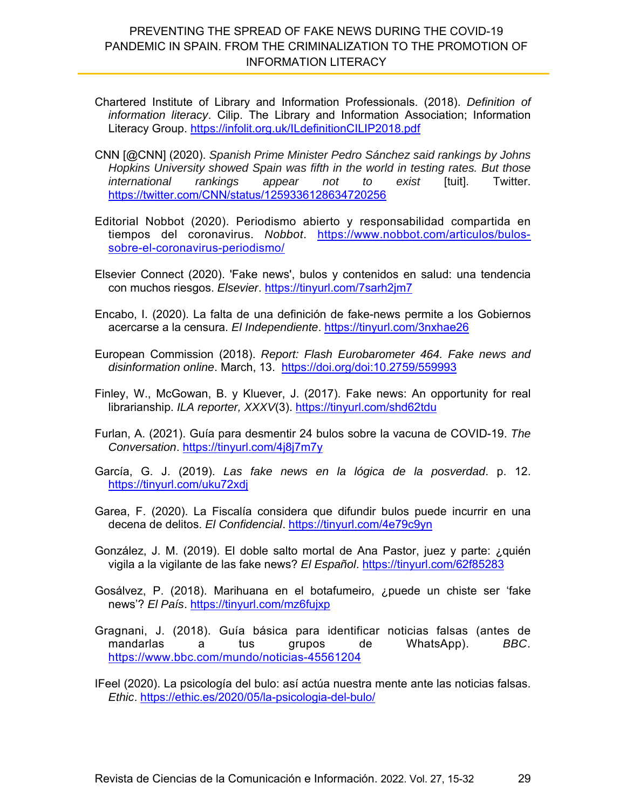- Chartered Institute of Library and Information Professionals. (2018). *Definition of information literacy*. Cilip. The Library and Information Association; Information Literacy Group. https://infolit.org.uk/ILdefinitionCILIP2018.pdf
- CNN [@CNN] (2020). *Spanish Prime Minister Pedro Sánchez said rankings by Johns Hopkins University showed Spain was fifth in the world in testing rates. But those international rankings appear not to exist* [tuit]. Twitter. https://twitter.com/CNN/status/1259336128634720256
- Editorial Nobbot (2020). Periodismo abierto y responsabilidad compartida en tiempos del coronavirus. *Nobbot*. https://www.nobbot.com/articulos/bulossobre-el-coronavirus-periodismo/
- Elsevier Connect (2020). 'Fake news', bulos y contenidos en salud: una tendencia con muchos riesgos. *Elsevier*. https://tinyurl.com/7sarh2jm7
- Encabo, I. (2020). La falta de una definición de fake-news permite a los Gobiernos acercarse a la censura. *El Independiente*. https://tinyurl.com/3nxhae26
- European Commission (2018). *Report: Flash Eurobarometer 464. Fake news and disinformation online*. March, 13. https://doi.org/doi:10.2759/559993
- Finley, W., McGowan, B. y Kluever, J. (2017). Fake news: An opportunity for real librarianship. *ILA reporter, XXXV*(3). https://tinyurl.com/shd62tdu
- Furlan, A. (2021). Guía para desmentir 24 bulos sobre la vacuna de COVID-19. *The Conversation*. https://tinyurl.com/4j8j7m7y
- García, G. J. (2019). *Las fake news en la lógica de la posverdad*. p. 12. https://tinyurl.com/uku72xdj
- Garea, F. (2020). La Fiscalía considera que difundir bulos puede incurrir en una decena de delitos. *El Confidencial*. https://tinyurl.com/4e79c9yn
- González, J. M. (2019). El doble salto mortal de Ana Pastor, juez y parte: ¿quién vigila a la vigilante de las fake news? *El Español*. https://tinyurl.com/62f85283
- Gosálvez, P. (2018). Marihuana en el botafumeiro, ¿puede un chiste ser 'fake news'? *El País*. https://tinyurl.com/mz6fujxp
- Gragnani, J. (2018). Guía básica para identificar noticias falsas (antes de mandarlas a tus grupos de WhatsApp). *BBC*. https://www.bbc.com/mundo/noticias-45561204

IFeel (2020). La psicología del bulo: así actúa nuestra mente ante las noticias falsas. *Ethic*. https://ethic.es/2020/05/la-psicologia-del-bulo/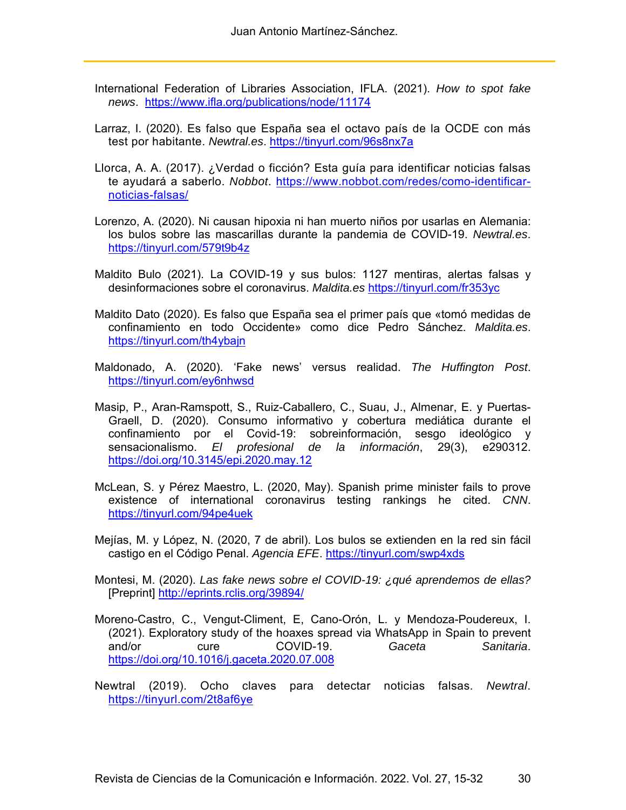- International Federation of Libraries Association, IFLA. (2021). *How to spot fake news*. https://www.ifla.org/publications/node/11174
- Larraz, I. (2020). Es falso que España sea el octavo país de la OCDE con más test por habitante. *Newtral.es*. https://tinyurl.com/96s8nx7a
- Llorca, A. A. (2017). ¿Verdad o ficción? Esta guía para identificar noticias falsas te ayudará a saberlo. *Nobbot*. https://www.nobbot.com/redes/como-identificarnoticias-falsas/
- Lorenzo, A. (2020). Ni causan hipoxia ni han muerto niños por usarlas en Alemania: los bulos sobre las mascarillas durante la pandemia de COVID-19. *Newtral.es*. https://tinyurl.com/579t9b4z
- Maldito Bulo (2021). La COVID-19 y sus bulos: 1127 mentiras, alertas falsas y desinformaciones sobre el coronavirus. *Maldita.es* https://tinyurl.com/fr353yc
- Maldito Dato (2020). Es falso que España sea el primer país que «tomó medidas de confinamiento en todo Occidente» como dice Pedro Sánchez. *Maldita.es*. https://tinyurl.com/th4ybajn
- Maldonado, A. (2020). 'Fake news' versus realidad. *The Huffington Post*. https://tinyurl.com/ey6nhwsd
- Masip, P., Aran-Ramspott, S., Ruiz-Caballero, C., Suau, J., Almenar, E. y Puertas-Graell, D. (2020). Consumo informativo y cobertura mediática durante el confinamiento por el Covid-19: sobreinformación, sesgo ideológico y sensacionalismo. *El profesional de la información*, 29(3), e290312. https://doi.org/10.3145/epi.2020.may.12
- McLean, S. y Pérez Maestro, L. (2020, May). Spanish prime minister fails to prove existence of international coronavirus testing rankings he cited. *CNN*. https://tinyurl.com/94pe4uek
- Mejías, M. y López, N. (2020, 7 de abril). Los bulos se extienden en la red sin fácil castigo en el Código Penal. *Agencia EFE*. https://tinyurl.com/swp4xds
- Montesi, M. (2020). *Las fake news sobre el COVID-19: ¿qué aprendemos de ellas?* [Preprint] http://eprints.rclis.org/39894/
- Moreno-Castro, C., Vengut-Climent, E, Cano-Orón, L. y Mendoza-Poudereux, I. (2021). Exploratory study of the hoaxes spread via WhatsApp in Spain to prevent and/or cure COVID-19. *Gaceta Sanitaria*. https://doi.org/10.1016/j.gaceta.2020.07.008
- Newtral (2019). Ocho claves para detectar noticias falsas. *Newtral*. https://tinyurl.com/2t8af6ye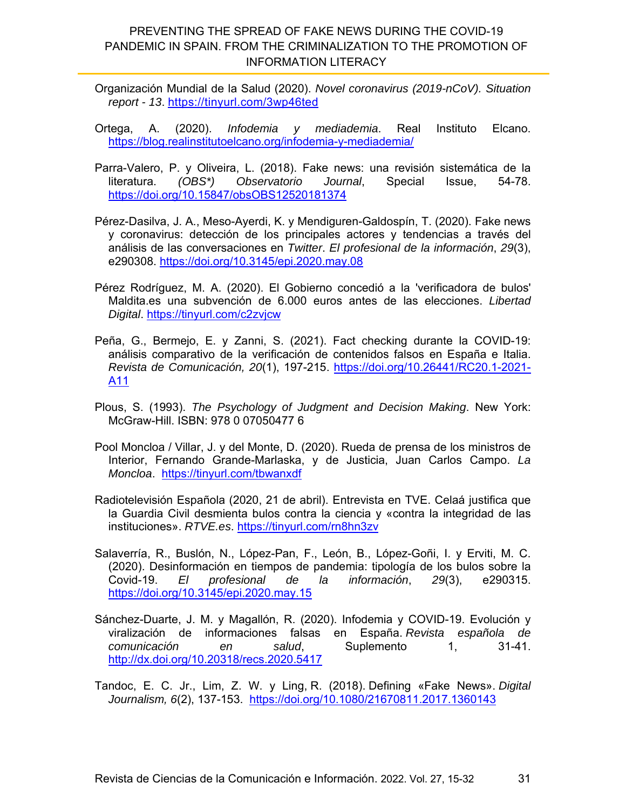- Organización Mundial de la Salud (2020). *Novel coronavirus (2019-nCoV). Situation report - 13*. https://tinyurl.com/3wp46ted
- Ortega, A. (2020). *Infodemia y mediademia*. Real Instituto Elcano. https://blog.realinstitutoelcano.org/infodemia-y-mediademia/
- Parra-Valero, P. y Oliveira, L. (2018). Fake news: una revisión sistemática de la literatura. *(OBS\*) Observatorio Journal*, Special Issue, 54-78. https://doi.org/10.15847/obsOBS12520181374
- Pérez-Dasilva, J. A., Meso-Ayerdi, K. y Mendiguren-Galdospín, T. (2020). Fake news y coronavirus: detección de los principales actores y tendencias a través del análisis de las conversaciones en *Twitter*. *El profesional de la información*, *29*(3), e290308. https://doi.org/10.3145/epi.2020.may.08
- Pérez Rodríguez, M. A. (2020). El Gobierno concedió a la 'verificadora de bulos' Maldita.es una subvención de 6.000 euros antes de las elecciones. *Libertad Digital*. https://tinyurl.com/c2zvjcw
- Peña, G., Bermejo, E. y Zanni, S. (2021). Fact checking durante la COVID-19: análisis comparativo de la verificación de contenidos falsos en España e Italia. *Revista de Comunicación, 20*(1), 197-215. https://doi.org/10.26441/RC20.1-2021- A11
- Plous, S. (1993). *The Psychology of Judgment and Decision Making*. New York: McGraw-Hill. ISBN: 978 0 07050477 6
- Pool Moncloa / Villar, J. y del Monte, D. (2020). Rueda de prensa de los ministros de Interior, Fernando Grande-Marlaska, y de Justicia, Juan Carlos Campo. *La Moncloa*. https://tinyurl.com/tbwanxdf
- Radiotelevisión Española (2020, 21 de abril). Entrevista en TVE. Celaá justifica que la Guardia Civil desmienta bulos contra la ciencia y «contra la integridad de las instituciones». *RTVE.es*. https://tinyurl.com/rn8hn3zv
- Salaverría, R., Buslón, N., López-Pan, F., León, B., López-Goñi, I. y Erviti, M. C. (2020). Desinformación en tiempos de pandemia: tipología de los bulos sobre la Covid-19. *El profesional de la información*, *29*(3), e290315. https://doi.org/10.3145/epi.2020.may.15
- Sánchez-Duarte, J. M. y Magallón, R. (2020). Infodemia y COVID-19. Evolución y viralización de informaciones falsas en España. *Revista española de comunicación en salud*, Suplemento 1, 31-41. http://dx.doi.org/10.20318/recs.2020.5417

Tandoc, E. C. Jr., Lim, Z. W. y Ling, R. (2018). Defining «Fake News». *Digital Journalism, 6*(2), 137-153. https://doi.org/10.1080/21670811.2017.1360143